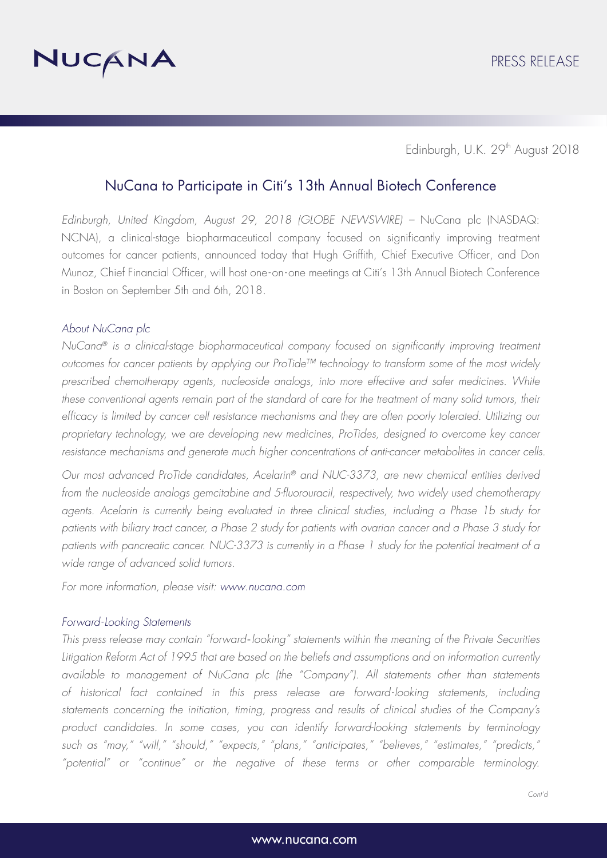

Edinburgh, U.K. 29<sup>th</sup> August 2018

## NuCana to Participate in Citi's 13th Annual Biotech Conference

*Edinburgh, United Kingdom, August 29, 2018 (GLOBE NEWSWIRE) –* NuCana plc (NASDAQ: NCNA), a clinical-stage biopharmaceutical company focused on significantly improving treatment outcomes for cancer patients, announced today that Hugh Griffith, Chief Executive Officer, and Don Munoz, Chief Financial Officer, will host one-on-one meetings at Citi's 13th Annual Biotech Conference in Boston on September 5th and 6th, 2018.

## *About NuCana plc*

*NuCana® is a clinical-stage biopharmaceutical company focused on significantly improving treatment outcomes for cancer patients by applying our ProTide™ technology to transform some of the most widely prescribed chemotherapy agents, nucleoside analogs, into more effective and safer medicines. While*  these conventional agents remain part of the standard of care for the treatment of many solid tumors, their *efficacy is limited by cancer cell resistance mechanisms and they are often poorly tolerated. Utilizing our proprietary technology, we are developing new medicines, ProTides, designed to overcome key cancer resistance mechanisms and generate much higher concentrations of anti-cancer metabolites in cancer cells.*

*Our most advanced ProTide candidates, Acelarin® and NUC-3373, are new chemical entities derived from the nucleoside analogs gemcitabine and 5-fluorouracil, respectively, two widely used chemotherapy agents. Acelarin is currently being evaluated in three clinical studies, including a Phase 1b study for patients with biliary tract cancer, a Phase 2 study for patients with ovarian cancer and a Phase 3 study for patients with pancreatic cancer. NUC-3373 is currently in a Phase 1 study for the potential treatment of a wide range of advanced solid tumors.*

*For more information, please visit: www.nucana.com*

## *Forward-Looking Statements*

*This press release may contain "forward*‐*looking" statements within the meaning of the Private Securities Litigation Reform Act of 1995 that are based on the beliefs and assumptions and on information currently available to management of NuCana plc (the "Company"). All statements other than statements of historical fact contained in this press release are forward- looking statements, including statements concerning the initiation, timing, progress and results of clinical studies of the Company's product candidates. In some cases, you can identify forward-looking statements by terminology such as "may," "will," "should," "expects," "plans," "anticipates," "believes," "estimates," "predicts," "potential" or "continue" or the negative of these terms or other comparable terminology.*